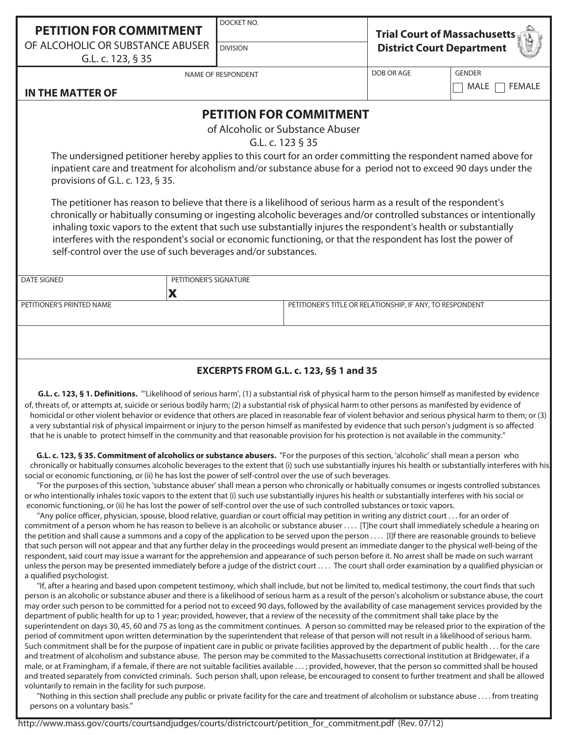OF ALCOHOLIC OR SUBSTANCE ABUSER DIVISION

DOCKET NO.

| <b>Trial Court of Massachusetts</b> |
|-------------------------------------|
| <b>District Court Department</b>    |

G.L. c. 123, § 35

NAME OF RESPONDENT

DOB OR AGE GENDER

 $\Box$  MALE  $\Box$  FEMALE

## **IN THE MATTER OF**

## **PETITION FOR COMMITMENT**

of Alcoholic or Substance Abuser

G.L. c. 123 § 35

The undersigned petitioner hereby applies to this court for an order committing the respondent named above for inpatient care and treatment for alcoholism and/or substance abuse for a period not to exceed 90 days under the provisions of G.L. c. 123, § 35.

 The petitioner has reason to believe that there is a likelihood of serious harm as a result of the respondent's chronically or habitually consuming or ingesting alcoholic beverages and/or controlled substances or intentionally inhaling toxic vapors to the extent that such use substantially injures the respondent's health or substantially interferes with the respondent's social or economic functioning, or that the respondent has lost the power of self-control over the use of such beverages and/or substances.

| DATE SIGNED               | PETITIONER'S SIGNATURE |                                                           |
|---------------------------|------------------------|-----------------------------------------------------------|
|                           |                        |                                                           |
| PETITIONER'S PRINTED NAME |                        | PETITIONER'S TITLE OR RELATIONSHIP, IF ANY, TO RESPONDENT |
|                           |                        |                                                           |

## **EXCERPTS FROM G.L. c. 123, §§ 1 and 35**

 **G.L. c. 123, § 1. Definitions.** '''Likelihood of serious harm', (1) a substantial risk of physical harm to the person himself as manifested by evidence of, threats of, or attempts at, suicide or serious bodily harm; (2) a substantial risk of physical harm to other persons as manifested by evidence of homicidal or other violent behavior or evidence that others are placed in reasonable fear of violent behavior and serious physical harm to them; or (3) a very substantial risk of physical impairment or injury to the person himself as manifested by evidence that such person's judgment is so affected that he is unable to protect himself in the community and that reasonable provision for his protection is not available in the community."

 **G.L. c. 123, § 35. Commitment of alcoholics or substance abusers.** "For the purposes of this section, 'alcoholic' shall mean a person who chronically or habitually consumes alcoholic beverages to the extent that (i) such use substantially injures his health or substantially interferes with his social or economic functioning, or (ii) he has lost the power of self-control over the use of such beverages.

 "For the purposes of this section, 'substance abuser' shall mean a person who chronically or habitually consumes or ingests controlled substances or who intentionally inhales toxic vapors to the extent that (i) such use substantially injures his health or substantially interferes with his social or economic functioning, or (ii) he has lost the power of self-control over the use of such controlled substances or toxic vapors.

 "Any police officer, physician, spouse, blood relative, guardian or court official may petition in writing any district court . . . for an order of commitment of a person whom he has reason to believe is an alcoholic or substance abuser . . . . [T]he court shall immediately schedule a hearing on the petition and shall cause a summons and a copy of the application to be served upon the person . . . . [I]f there are reasonable grounds to believe that such person will not appear and that any further delay in the proceedings would present an immediate danger to the physical well-being of the respondent, said court may issue a warrant for the apprehension and appearance of such person before it. No arrest shall be made on such warrant unless the person may be presented immediately before a judge of the district court . . . . The court shall order examination by a qualified physician or a qualified psychologist.

 "If, after a hearing and based upon competent testimony, which shall include, but not be limited to, medical testimony, the court finds that such person is an alcoholic or substance abuser and there is a likelihood of serious harm as a result of the person's alcoholism or substance abuse, the court may order such person to be committed for a period not to exceed 90 days, followed by the availability of case management services provided by the department of public health for up to 1 year; provided, however, that a review of the necessity of the commitment shall take place by the superintendent on days 30, 45, 60 and 75 as long as the commitment continues. A person so committed may be released prior to the expiration of the period of commitment upon written determination by the superintendent that release of that person will not result in a likelihood of serious harm. Such commitment shall be for the purpose of inpatient care in public or private facilities approved by the department of public health . . . for the care and treatment of alcoholism and substance abuse. The person may be commited to the Massachusetts correctional institution at Bridgewater, if a male, or at Framingham, if a female, if there are not suitable facilities available . . . ; provided, however, that the person so committed shall be housed and treated separately from convicted criminals. Such person shall, upon release, be encouraged to consent to further treatment and shall be allowed voluntarily to remain in the facility for such purpose.

 "Nothing in this section shall preclude any public or private facility for the care and treatment of alcoholism or substance abuse . . . . from treating persons on a voluntary basis."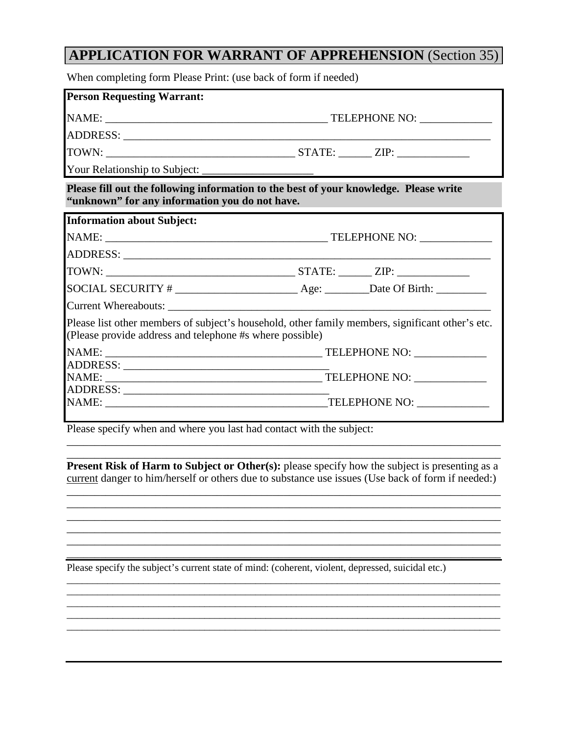## **APPLICATION FOR WARRANT OF APPREHENSION** (Section 35)

When completing form Please Print: (use back of form if needed)

| <b>Person Requesting Warrant:</b>                                                                                                       |                                                                                                  |  |  |  |
|-----------------------------------------------------------------------------------------------------------------------------------------|--------------------------------------------------------------------------------------------------|--|--|--|
|                                                                                                                                         |                                                                                                  |  |  |  |
|                                                                                                                                         |                                                                                                  |  |  |  |
|                                                                                                                                         |                                                                                                  |  |  |  |
|                                                                                                                                         |                                                                                                  |  |  |  |
| Please fill out the following information to the best of your knowledge. Please write<br>"unknown" for any information you do not have. |                                                                                                  |  |  |  |
| <b>Information about Subject:</b>                                                                                                       |                                                                                                  |  |  |  |
|                                                                                                                                         |                                                                                                  |  |  |  |
|                                                                                                                                         |                                                                                                  |  |  |  |
|                                                                                                                                         |                                                                                                  |  |  |  |
|                                                                                                                                         |                                                                                                  |  |  |  |
|                                                                                                                                         |                                                                                                  |  |  |  |
| (Please provide address and telephone #s where possible)                                                                                | Please list other members of subject's household, other family members, significant other's etc. |  |  |  |
|                                                                                                                                         |                                                                                                  |  |  |  |
|                                                                                                                                         |                                                                                                  |  |  |  |
|                                                                                                                                         |                                                                                                  |  |  |  |
|                                                                                                                                         |                                                                                                  |  |  |  |
|                                                                                                                                         |                                                                                                  |  |  |  |

Please specify when and where you last had contact with the subject:

\_\_\_\_\_\_\_\_\_\_\_\_\_\_\_\_\_\_\_\_\_\_\_\_\_\_\_\_\_\_\_\_\_\_\_\_\_\_\_\_\_\_\_\_\_\_\_\_\_\_\_\_\_\_\_\_\_\_\_\_\_\_\_\_\_\_\_\_\_\_\_\_\_\_\_\_\_\_ **Present Risk of Harm to Subject or Other(s):** please specify how the subject is presenting as a current danger to him/herself or others due to substance use issues (Use back of form if needed:)

\_\_\_\_\_\_\_\_\_\_\_\_\_\_\_\_\_\_\_\_\_\_\_\_\_\_\_\_\_\_\_\_\_\_\_\_\_\_\_\_\_\_\_\_\_\_\_\_\_\_\_\_\_\_\_\_\_\_\_\_\_\_\_\_\_\_\_\_\_\_\_\_\_\_\_\_\_\_ \_\_\_\_\_\_\_\_\_\_\_\_\_\_\_\_\_\_\_\_\_\_\_\_\_\_\_\_\_\_\_\_\_\_\_\_\_\_\_\_\_\_\_\_\_\_\_\_\_\_\_\_\_\_\_\_\_\_\_\_\_\_\_\_\_\_\_\_\_\_\_\_\_\_\_\_\_\_ \_\_\_\_\_\_\_\_\_\_\_\_\_\_\_\_\_\_\_\_\_\_\_\_\_\_\_\_\_\_\_\_\_\_\_\_\_\_\_\_\_\_\_\_\_\_\_\_\_\_\_\_\_\_\_\_\_\_\_\_\_\_\_\_\_\_\_\_\_\_\_\_\_\_\_\_\_\_ \_\_\_\_\_\_\_\_\_\_\_\_\_\_\_\_\_\_\_\_\_\_\_\_\_\_\_\_\_\_\_\_\_\_\_\_\_\_\_\_\_\_\_\_\_\_\_\_\_\_\_\_\_\_\_\_\_\_\_\_\_\_\_\_\_\_\_\_\_\_\_\_\_\_\_\_\_\_ \_\_\_\_\_\_\_\_\_\_\_\_\_\_\_\_\_\_\_\_\_\_\_\_\_\_\_\_\_\_\_\_\_\_\_\_\_\_\_\_\_\_\_\_\_\_\_\_\_\_\_\_\_\_\_\_\_\_\_\_\_\_\_\_\_\_\_\_\_\_\_\_\_\_\_\_\_\_ \_\_\_\_\_\_\_\_\_\_\_\_\_\_\_\_\_\_\_\_\_\_\_\_\_\_\_\_\_\_\_\_\_\_\_\_\_\_\_\_\_\_\_\_\_\_\_\_\_\_\_\_\_\_\_\_\_\_\_\_\_\_\_\_\_\_\_\_\_\_\_\_\_\_\_\_\_\_

\_\_\_\_\_\_\_\_\_\_\_\_\_\_\_\_\_\_\_\_\_\_\_\_\_\_\_\_\_\_\_\_\_\_\_\_\_\_\_\_\_\_\_\_\_\_\_\_\_\_\_\_\_\_\_\_\_\_\_\_\_\_\_\_\_\_\_\_\_\_\_\_\_\_\_\_\_\_\_\_\_\_\_\_\_ \_\_\_\_\_\_\_\_\_\_\_\_\_\_\_\_\_\_\_\_\_\_\_\_\_\_\_\_\_\_\_\_\_\_\_\_\_\_\_\_\_\_\_\_\_\_\_\_\_\_\_\_\_\_\_\_\_\_\_\_\_\_\_\_\_\_\_\_\_\_\_\_\_\_\_\_\_\_\_\_\_\_\_\_\_ \_\_\_\_\_\_\_\_\_\_\_\_\_\_\_\_\_\_\_\_\_\_\_\_\_\_\_\_\_\_\_\_\_\_\_\_\_\_\_\_\_\_\_\_\_\_\_\_\_\_\_\_\_\_\_\_\_\_\_\_\_\_\_\_\_\_\_\_\_\_\_\_\_\_\_\_\_\_\_\_\_\_\_\_\_ \_\_\_\_\_\_\_\_\_\_\_\_\_\_\_\_\_\_\_\_\_\_\_\_\_\_\_\_\_\_\_\_\_\_\_\_\_\_\_\_\_\_\_\_\_\_\_\_\_\_\_\_\_\_\_\_\_\_\_\_\_\_\_\_\_\_\_\_\_\_\_\_\_\_\_\_\_\_\_\_\_\_\_\_\_ \_\_\_\_\_\_\_\_\_\_\_\_\_\_\_\_\_\_\_\_\_\_\_\_\_\_\_\_\_\_\_\_\_\_\_\_\_\_\_\_\_\_\_\_\_\_\_\_\_\_\_\_\_\_\_\_\_\_\_\_\_\_\_\_\_\_\_\_\_\_\_\_\_\_\_\_\_\_\_\_\_\_\_\_\_

\_\_\_\_\_\_\_\_\_\_\_\_\_\_\_\_\_\_\_\_\_\_\_\_\_\_\_\_\_\_\_\_\_\_\_\_\_\_\_\_\_\_\_\_\_\_\_\_\_\_\_\_\_\_\_\_\_\_\_\_\_\_\_\_\_\_\_\_\_\_\_\_\_\_\_\_\_\_

Please specify the subject's current state of mind: (coherent, violent, depressed, suicidal etc.)